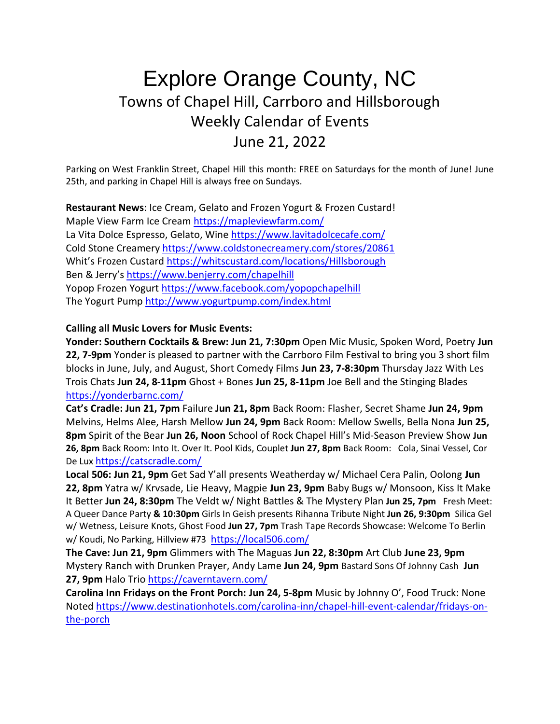## Explore Orange County, NC Towns of Chapel Hill, Carrboro and Hillsborough Weekly Calendar of Events June 21, 2022

Parking on West Franklin Street, Chapel Hill this month: FREE on Saturdays for the month of June! June 25th, and parking in Chapel Hill is always free on Sundays.

**Restaurant News**: Ice Cream, Gelato and Frozen Yogurt & Frozen Custard!

Maple View Farm Ice Cream <https://mapleviewfarm.com/> La Vita Dolce Espresso, Gelato, Win[e https://www.lavitadolcecafe.com/](https://www.lavitadolcecafe.com/) Cold Stone Creamery <https://www.coldstonecreamery.com/stores/20861> Whit's Frozen Custard <https://whitscustard.com/locations/Hillsborough> Ben & Jerry's <https://www.benjerry.com/chapelhill> Yopop Frozen Yogurt <https://www.facebook.com/yopopchapelhill> The Yogurt Pump <http://www.yogurtpump.com/index.html>

## **Calling all Music Lovers for Music Events:**

**Yonder: Southern Cocktails & Brew: Jun 21, 7:30pm** Open Mic Music, Spoken Word, Poetry **Jun 22, 7-9pm** Yonder is pleased to partner with the Carrboro Film Festival to bring you 3 short film blocks in June, July, and August, Short Comedy Films **Jun 23, 7-8:30pm** Thursday Jazz With Les Trois Chats **Jun 24, 8-11pm** Ghost + Bones **Jun 25, 8-11pm** Joe Bell and the Stinging Blades <https://yonderbarnc.com/>

**Cat's Cradle: Jun 21, 7pm** Failure **Jun 21, 8pm** Back Room: Flasher, Secret Shame **Jun 24, 9pm** Melvins, Helms Alee, Harsh Mellow **Jun 24, 9pm** Back Room: Mellow Swells, Bella Nona **Jun 25, 8pm** Spirit of the Bear **Jun 26, Noon** School of Rock Chapel Hill's Mid-Season Preview Show **Jun 26, 8pm** Back Room: Into It. Over It. Pool Kids, Couplet **Jun 27, 8pm** Back Room: Cola, Sinai Vessel, Cor De Lux <https://catscradle.com/>

**Local 506: Jun 21, 9pm** Get Sad Y'all presents Weatherday w/ Michael Cera Palin, Oolong **Jun 22, 8pm** Yatra w/ Krvsade, Lie Heavy, Magpie **Jun 23, 9pm** Baby Bugs w/ Monsoon, Kiss It Make It Better **Jun 24, 8:30pm** The Veldt w/ Night Battles & The Mystery Plan **Jun 25, 7pm** Fresh Meet: A Queer Dance Party **& 10:30pm** Girls In Geish presents Rihanna Tribute Night **Jun 26, 9:30pm** Silica Gel w/ Wetness, Leisure Knots, Ghost Food **Jun 27, 7pm** Trash Tape Records Showcase: Welcome To Berlin w/ Koudi, No Parking, Hillview #73 <https://local506.com/>

**The Cave: Jun 21, 9pm** Glimmers with The Maguas **Jun 22, 8:30pm** Art Club **June 23, 9pm** Mystery Ranch with Drunken Prayer, Andy Lame **Jun 24, 9pm** Bastard Sons Of Johnny Cash **Jun 27, 9pm** Halo Trio <https://caverntavern.com/>

**Carolina Inn Fridays on the Front Porch: Jun 24, 5-8pm** Music by Johnny O', Food Truck: None Noted [https://www.destinationhotels.com/carolina-inn/chapel-hill-event-calendar/fridays-on](https://www.destinationhotels.com/carolina-inn/chapel-hill-event-calendar/fridays-on-the-porch)[the-porch](https://www.destinationhotels.com/carolina-inn/chapel-hill-event-calendar/fridays-on-the-porch)